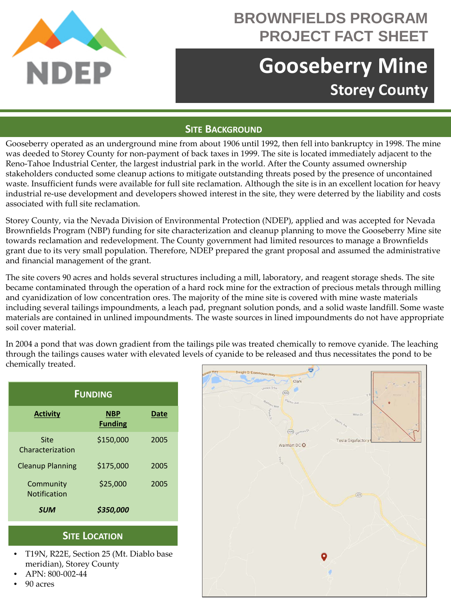

# **BROWNFIELDS PROGRAM PROJECT FACT SHEET**

# **Gooseberry Mine Storey County**

#### **SITE BACKGROUND**

Gooseberry operated as an underground mine from about 1906 until 1992, then fell into bankruptcy in 1998. The mine was deeded to Storey County for non-payment of back taxes in 1999. The site is located immediately adjacent to the Reno-Tahoe Industrial Center, the largest industrial park in the world. After the County assumed ownership stakeholders conducted some cleanup actions to mitigate outstanding threats posed by the presence of uncontained waste. Insufficient funds were available for full site reclamation. Although the site is in an excellent location for heavy industrial re-use development and developers showed interest in the site, they were deterred by the liability and costs associated with full site reclamation.

Storey County, via the Nevada Division of Environmental Protection (NDEP), applied and was accepted for Nevada Brownfields Program (NBP) funding for site characterization and cleanup planning to move the Gooseberry Mine site towards reclamation and redevelopment. The County government had limited resources to manage a Brownfields grant due to its very small population. Therefore, NDEP prepared the grant proposal and assumed the administrative and financial management of the grant.

The site covers 90 acres and holds several structures including a mill, laboratory, and reagent storage sheds. The site became contaminated through the operation of a hard rock mine for the extraction of precious metals through milling and cyanidization of low concentration ores. The majority of the mine site is covered with mine waste materials including several tailings impoundments, a leach pad, pregnant solution ponds, and a solid waste landfill. Some waste materials are contained in unlined impoundments. The waste sources in lined impoundments do not have appropriate soil cover material.

In 2004 a pond that was down gradient from the tailings pile was treated chemically to remove cyanide. The leaching through the tailings causes water with elevated levels of cyanide to be released and thus necessitates the pond to be chemically treated.

| <b>FUNDING</b>                   |                              |      |
|----------------------------------|------------------------------|------|
| <b>Activity</b>                  | <b>NBP</b><br><b>Funding</b> | Date |
| Site<br>Characterization         | \$150,000                    | 2005 |
| <b>Cleanup Planning</b>          | \$175.000                    | 2005 |
| Community<br><b>Notification</b> | \$25,000                     | 2005 |
| SUM                              | \$350,000                    |      |

### **SITE LOCATION**

- T19N, R22E, Section 25 (Mt. Diablo base meridian), Storey County
- APN: 800-002-44
- 90 acres